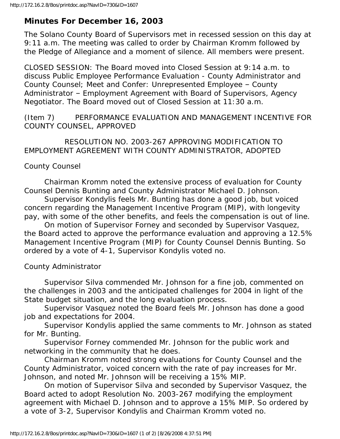## **Minutes For December 16, 2003**

The Solano County Board of Supervisors met in recessed session on this day at 9:11 a.m. The meeting was called to order by Chairman Kromm followed by the Pledge of Allegiance and a moment of silence. All members were present.

CLOSED SESSION: The Board moved into Closed Session at 9:14 a.m. to discuss Public Employee Performance Evaluation - County Administrator and County Counsel; Meet and Confer: Unrepresented Employee – County Administrator – Employment Agreement with Board of Supervisors, Agency Negotiator. The Board moved out of Closed Session at 11:30 a.m.

(Item 7) PERFORMANCE EVALUATION AND MANAGEMENT INCENTIVE FOR COUNTY COUNSEL, APPROVED

 RESOLUTION NO. 2003-267 APPROVING MODIFICATION TO EMPLOYMENT AGREEMENT WITH COUNTY ADMINISTRATOR, ADOPTED

## County Counsel

 Chairman Kromm noted the extensive process of evaluation for County Counsel Dennis Bunting and County Administrator Michael D. Johnson.

 Supervisor Kondylis feels Mr. Bunting has done a good job, but voiced concern regarding the Management Incentive Program (MIP), with longevity pay, with some of the other benefits, and feels the compensation is out of line.

 On motion of Supervisor Forney and seconded by Supervisor Vasquez, the Board acted to approve the performance evaluation and approving a 12.5% Management Incentive Program (MIP) for County Counsel Dennis Bunting. So ordered by a vote of 4-1, Supervisor Kondylis voted no.

County Administrator

 Supervisor Silva commended Mr. Johnson for a fine job, commented on the challenges in 2003 and the anticipated challenges for 2004 in light of the State budget situation, and the long evaluation process.

 Supervisor Vasquez noted the Board feels Mr. Johnson has done a good job and expectations for 2004.

 Supervisor Kondylis applied the same comments to Mr. Johnson as stated for Mr. Bunting.

 Supervisor Forney commended Mr. Johnson for the public work and networking in the community that he does.

 Chairman Kromm noted strong evaluations for County Counsel and the County Administrator, voiced concern with the rate of pay increases for Mr. Johnson, and noted Mr. Johnson will be receiving a 15% MIP.

 On motion of Supervisor Silva and seconded by Supervisor Vasquez, the Board acted to adopt Resolution No. 2003-267 modifying the employment agreement with Michael D. Johnson and to approve a 15% MIP. So ordered by a vote of 3-2, Supervisor Kondylis and Chairman Kromm voted no.